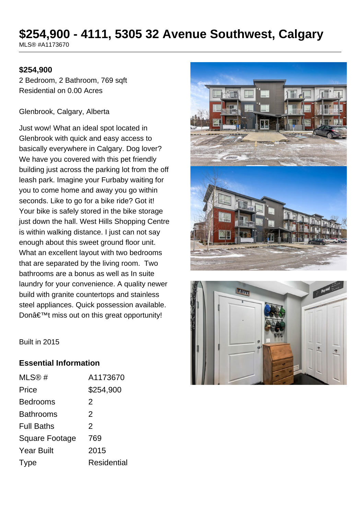# **\$254,900 - 4111, 5305 32 Avenue Southwest, Calgary**

MLS® #A1173670

#### **\$254,900**

2 Bedroom, 2 Bathroom, 769 sqft Residential on 0.00 Acres

#### Glenbrook, Calgary, Alberta

Just wow! What an ideal spot located in Glenbrook with quick and easy access to basically everywhere in Calgary. Dog lover? We have you covered with this pet friendly building just across the parking lot from the off leash park. Imagine your Furbaby waiting for you to come home and away you go within seconds. Like to go for a bike ride? Got it! Your bike is safely stored in the bike storage just down the hall. West Hills Shopping Centre is within walking distance. I just can not say enough about this sweet ground floor unit. What an excellent layout with two bedrooms that are separated by the living room. Two bathrooms are a bonus as well as In suite laundry for your convenience. A quality newer build with granite countertops and stainless steel appliances. Quick possession available. Don $\hat{a} \in \text{TM}$  miss out on this great opportunity!





Built in 2015

#### **Essential Information**

| MLS@#             | A1173670           |
|-------------------|--------------------|
| Price             | \$254,900          |
| <b>Bedrooms</b>   | 2                  |
| <b>Bathrooms</b>  | 2                  |
| <b>Full Baths</b> | 2                  |
| Square Footage    | 769                |
| <b>Year Built</b> | 2015               |
| Type              | <b>Residential</b> |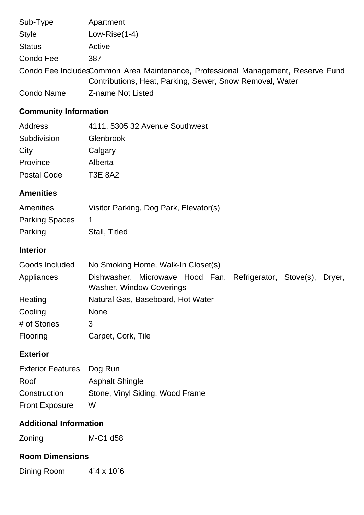| Sub-Type                                                                                                                                     | Apartment         |  |
|----------------------------------------------------------------------------------------------------------------------------------------------|-------------------|--|
| <b>Style</b>                                                                                                                                 | Low-Rise $(1-4)$  |  |
| <b>Status</b>                                                                                                                                | Active            |  |
| Condo Fee                                                                                                                                    | 387               |  |
| Condo Fee IncludesCommon Area Maintenance, Professional Management, Reserve Fund<br>Contributions, Heat, Parking, Sewer, Snow Removal, Water |                   |  |
| <b>Condo Name</b>                                                                                                                            | Z-name Not Listed |  |

## **Community Information**

| Address     | 4111, 5305 32 Avenue Southwest |
|-------------|--------------------------------|
| Subdivision | Glenbrook                      |
| City        | Calgary                        |
| Province    | Alberta                        |
| Postal Code | <b>T3E 8A2</b>                 |
|             |                                |

## **Amenities**

| Amenities             | Visitor Parking, Dog Park, Elevator(s) |
|-----------------------|----------------------------------------|
| <b>Parking Spaces</b> |                                        |
| Parking               | Stall, Titled                          |

## **Interior**

| Goods Included | No Smoking Home, Walk-In Closet(s)                                                                |  |  |
|----------------|---------------------------------------------------------------------------------------------------|--|--|
| Appliances     | Dishwasher, Microwave Hood Fan, Refrigerator, Stove(s), Dryer,<br><b>Washer, Window Coverings</b> |  |  |
| Heating        | Natural Gas, Baseboard, Hot Water                                                                 |  |  |
| Cooling        | <b>None</b>                                                                                       |  |  |
| # of Stories   | 3                                                                                                 |  |  |
| Flooring       | Carpet, Cork, Tile                                                                                |  |  |

## **Exterior**

| <b>Exterior Features</b> Dog Run |                                 |
|----------------------------------|---------------------------------|
| Roof                             | <b>Asphalt Shingle</b>          |
| Construction                     | Stone, Vinyl Siding, Wood Frame |
| <b>Front Exposure</b>            | w                               |

#### **Additional Information**

Zoning M-C1 d58

## **Room Dimensions**

Dining Room 4`4 x 10`6